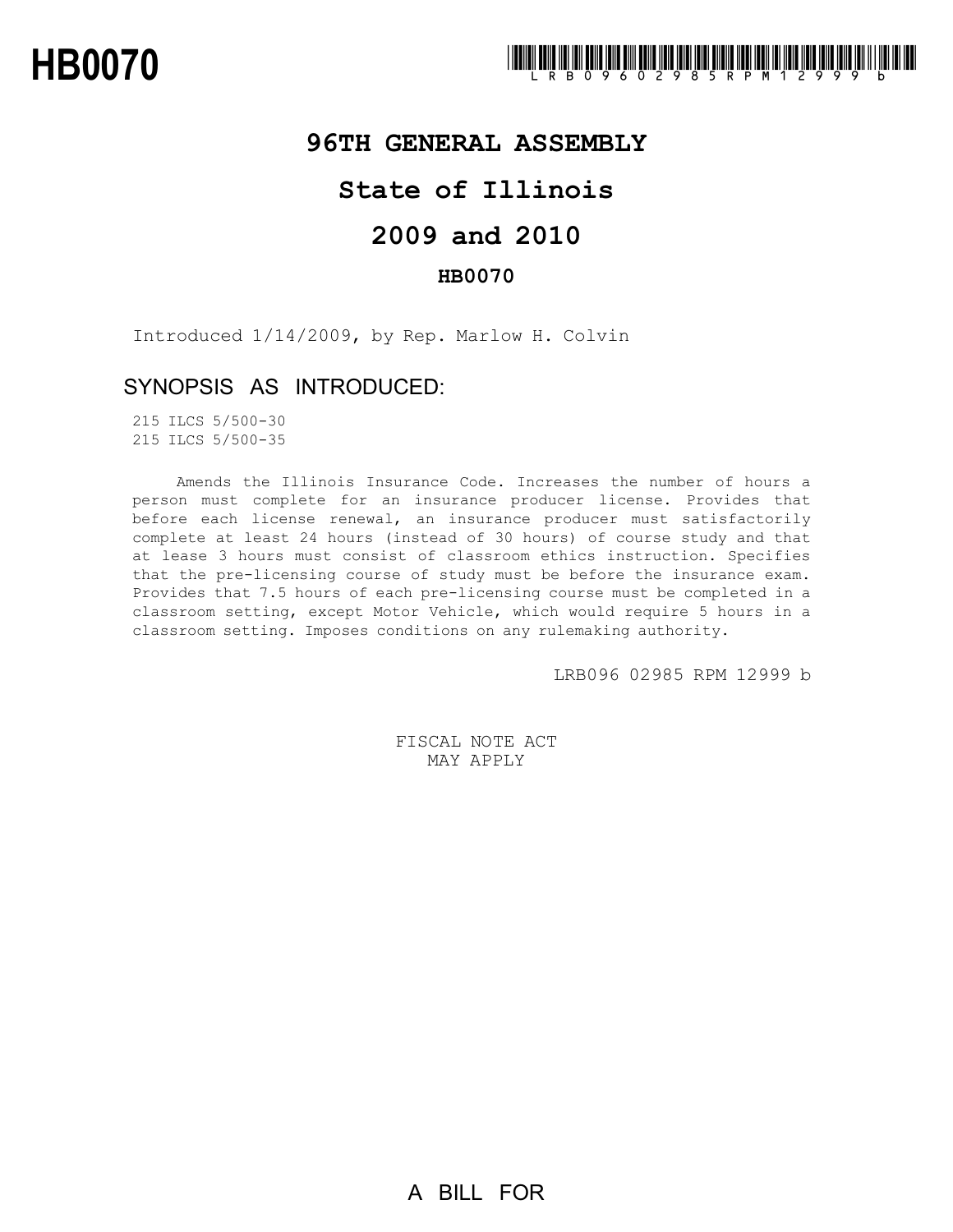## **96TH GENERAL ASSEMBLY**

## **State of Illinois**

# **2009 and 2010**

### **HB0070**

Introduced 1/14/2009, by Rep. Marlow H. Colvin

## SYNOPSIS AS INTRODUCED:

215 ILCS 5/500-30 215 ILCS 5/500-35

Amends the Illinois Insurance Code. Increases the number of hours a person must complete for an insurance producer license. Provides that before each license renewal, an insurance producer must satisfactorily complete at least 24 hours (instead of 30 hours) of course study and that at lease 3 hours must consist of classroom ethics instruction. Specifies that the pre-licensing course of study must be before the insurance exam. Provides that 7.5 hours of each pre-licensing course must be completed in a classroom setting, except Motor Vehicle, which would require 5 hours in a classroom setting. Imposes conditions on any rulemaking authority.

LRB096 02985 RPM 12999 b

FISCAL NOTE ACT MAY APPLY

A BILL FOR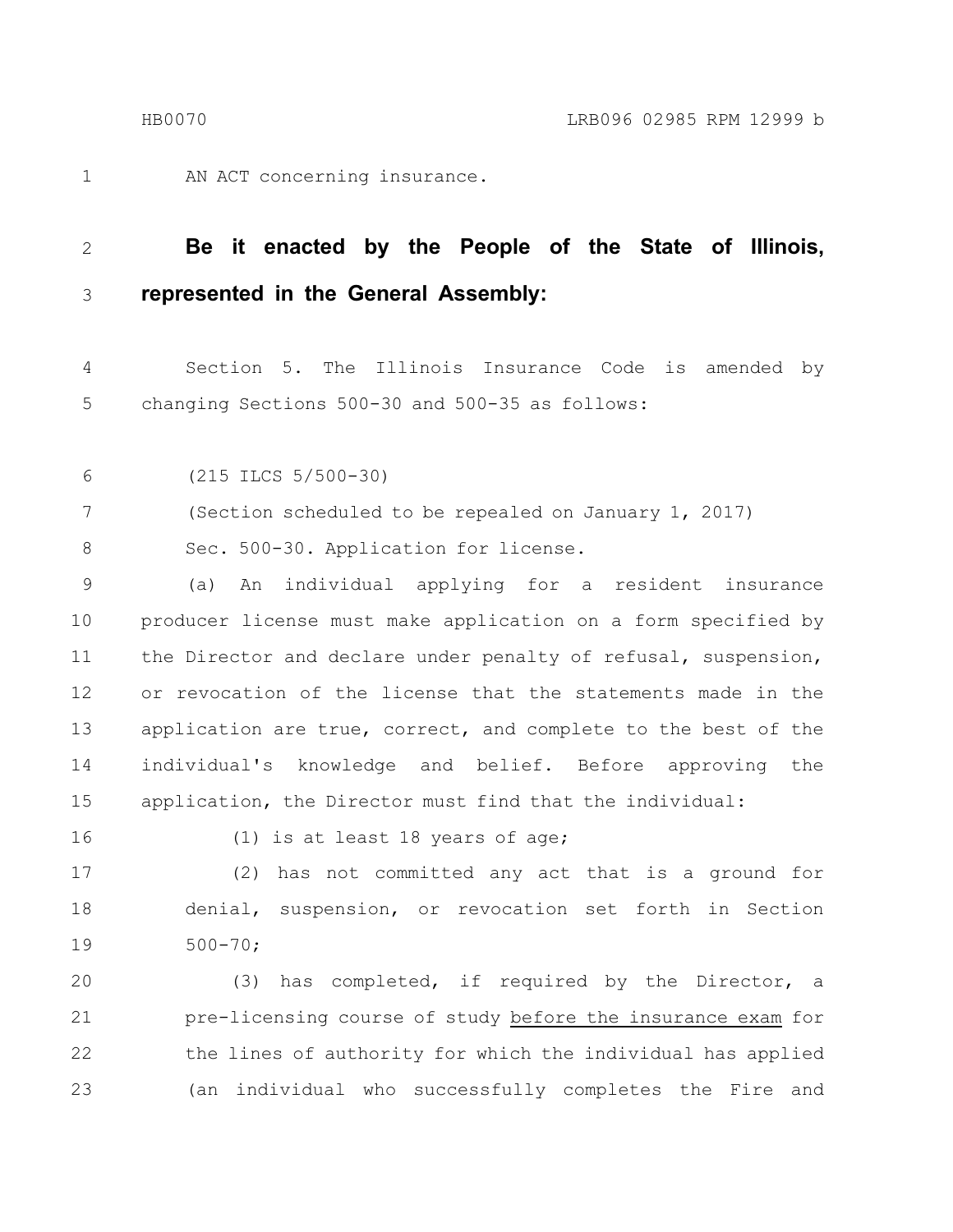1

AN ACT concerning insurance.

#### **Be it enacted by the People of the State of Illinois, represented in the General Assembly:** 2 3

Section 5. The Illinois Insurance Code is amended by changing Sections 500-30 and 500-35 as follows: 4 5

(215 ILCS 5/500-30) 6

(Section scheduled to be repealed on January 1, 2017) 7

Sec. 500-30. Application for license. 8

(a) An individual applying for a resident insurance producer license must make application on a form specified by the Director and declare under penalty of refusal, suspension, or revocation of the license that the statements made in the application are true, correct, and complete to the best of the individual's knowledge and belief. Before approving the application, the Director must find that the individual: 9 10 11 12 13 14 15

16

(1) is at least 18 years of age;

(2) has not committed any act that is a ground for denial, suspension, or revocation set forth in Section 500-70; 17 18 19

(3) has completed, if required by the Director, a pre-licensing course of study before the insurance exam for the lines of authority for which the individual has applied (an individual who successfully completes the Fire and 20 21 22 23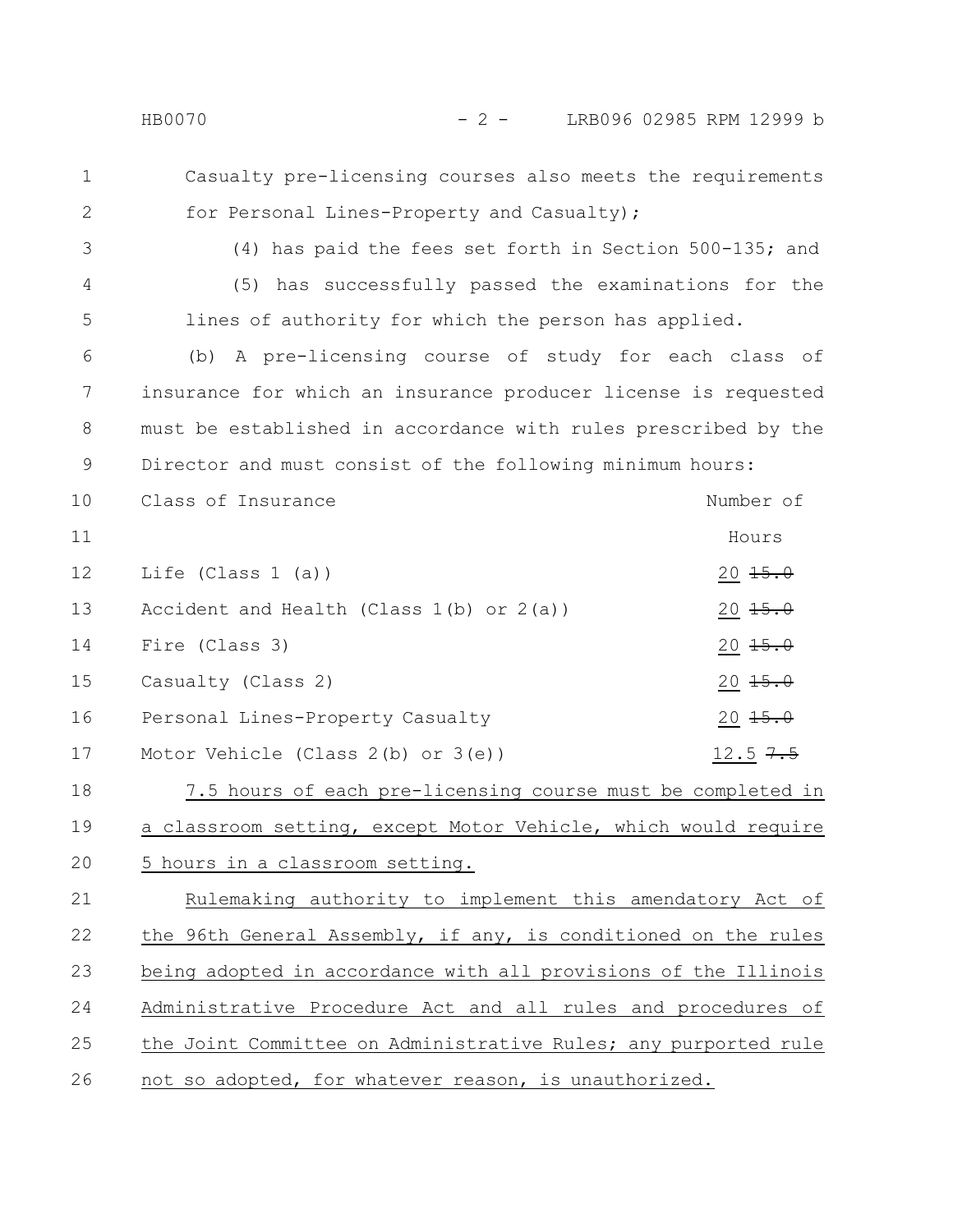- Casualty pre-licensing courses also meets the requirements for Personal Lines-Property and Casualty); 1 2
- 3

4

5

(4) has paid the fees set forth in Section 500-135; and (5) has successfully passed the examinations for the lines of authority for which the person has applied.

(b) A pre-licensing course of study for each class of insurance for which an insurance producer license is requested must be established in accordance with rules prescribed by the Director and must consist of the following minimum hours: 6 7 8 9

Class of Insurance Number of Hours Life (Class 1 (a))  $20 \frac{15.0}{15.0}$ Accident and Health (Class  $1(b)$  or  $2(a)$ ) 20  $15.0$ Fire (Class 3)  $20 \frac{15.0}{15.0}$  $\alpha$  Casualty (Class 2)  $\alpha$  20 15.0 Personal Lines-Property Casualty 20 15.0 Motor Vehicle (Class 2(b) or 3(e)) 12.5  $7.5$ 10 11 12 13 14 15 16 17

7.5 hours of each pre-licensing course must be completed in a classroom setting, except Motor Vehicle, which would require 5 hours in a classroom setting. 18 19 20

Rulemaking authority to implement this amendatory Act of the 96th General Assembly, if any, is conditioned on the rules being adopted in accordance with all provisions of the Illinois Administrative Procedure Act and all rules and procedures of the Joint Committee on Administrative Rules; any purported rule not so adopted, for whatever reason, is unauthorized. 21 22 23 24 25 26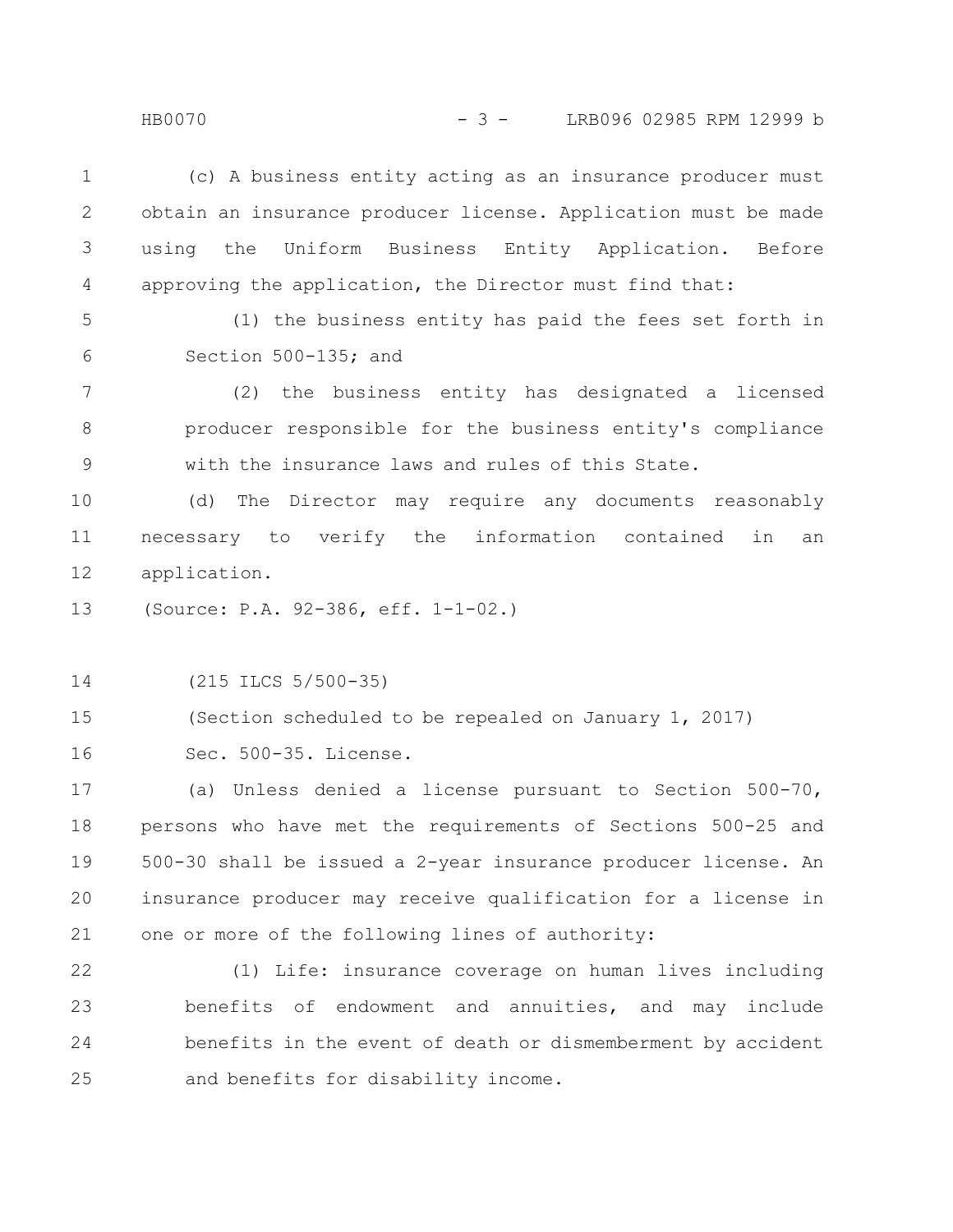(c) A business entity acting as an insurance producer must obtain an insurance producer license. Application must be made using the Uniform Business Entity Application. Before approving the application, the Director must find that: 1 2 3 4

5

6

(1) the business entity has paid the fees set forth in Section 500-135; and

(2) the business entity has designated a licensed producer responsible for the business entity's compliance with the insurance laws and rules of this State. 7 8 9

(d) The Director may require any documents reasonably necessary to verify the information contained in an application. 10 11 12

(Source: P.A. 92-386, eff. 1-1-02.) 13

(215 ILCS 5/500-35) 14

(Section scheduled to be repealed on January 1, 2017) 15

Sec. 500-35. License. 16

(a) Unless denied a license pursuant to Section 500-70, persons who have met the requirements of Sections 500-25 and 500-30 shall be issued a 2-year insurance producer license. An insurance producer may receive qualification for a license in one or more of the following lines of authority: 17 18 19 20 21

(1) Life: insurance coverage on human lives including benefits of endowment and annuities, and may include benefits in the event of death or dismemberment by accident and benefits for disability income. 22 23 24 25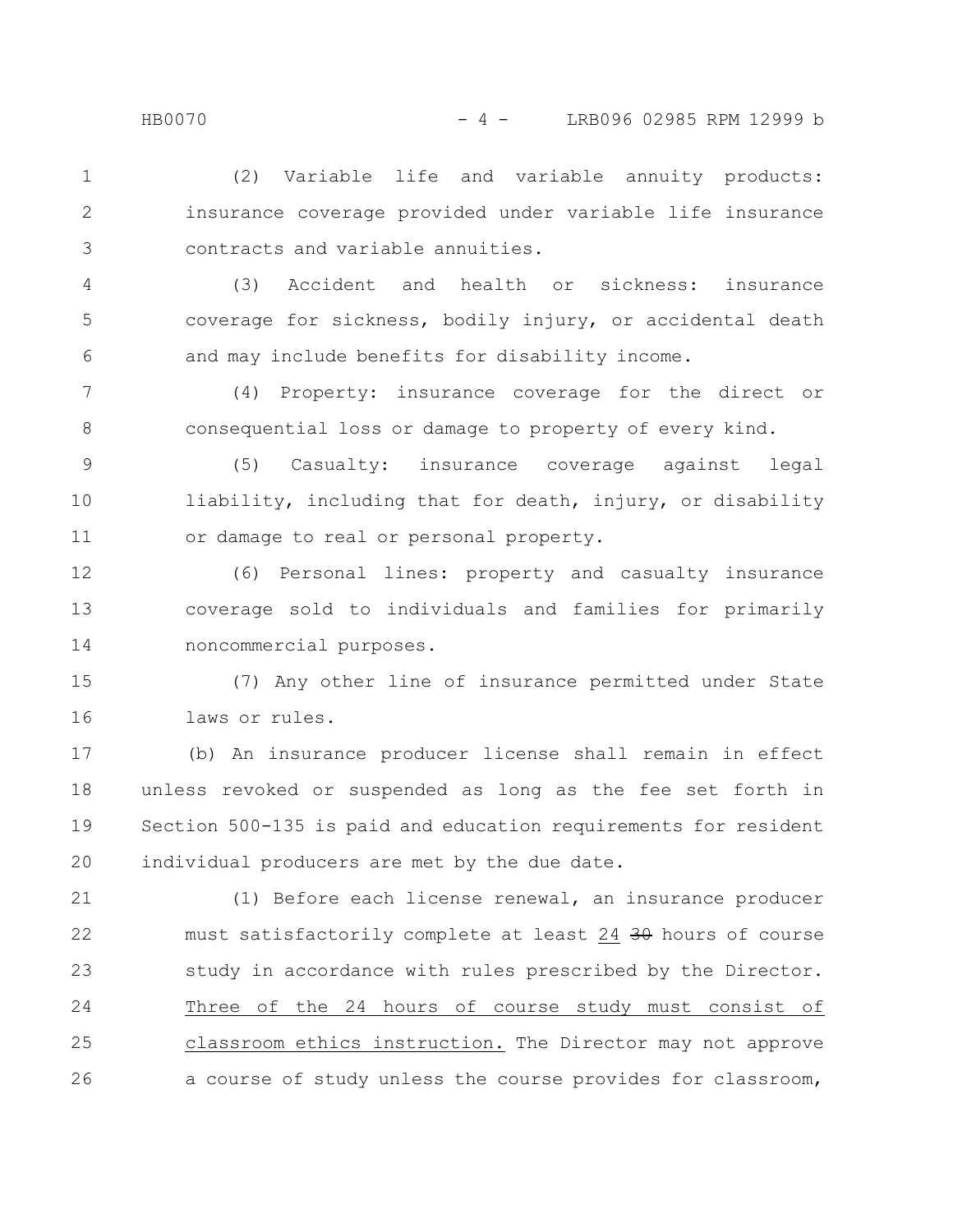(2) Variable life and variable annuity products: insurance coverage provided under variable life insurance contracts and variable annuities. 1 2 3

(3) Accident and health or sickness: insurance coverage for sickness, bodily injury, or accidental death and may include benefits for disability income. 4 5 6

(4) Property: insurance coverage for the direct or consequential loss or damage to property of every kind. 7 8

(5) Casualty: insurance coverage against legal liability, including that for death, injury, or disability or damage to real or personal property. 9 10 11

(6) Personal lines: property and casualty insurance coverage sold to individuals and families for primarily noncommercial purposes. 12 13 14

(7) Any other line of insurance permitted under State laws or rules. 15 16

(b) An insurance producer license shall remain in effect unless revoked or suspended as long as the fee set forth in Section 500-135 is paid and education requirements for resident individual producers are met by the due date. 17 18 19 20

(1) Before each license renewal, an insurance producer must satisfactorily complete at least 24 30 hours of course study in accordance with rules prescribed by the Director. Three of the 24 hours of course study must consist of classroom ethics instruction. The Director may not approve a course of study unless the course provides for classroom, 21 22 23 24 25 26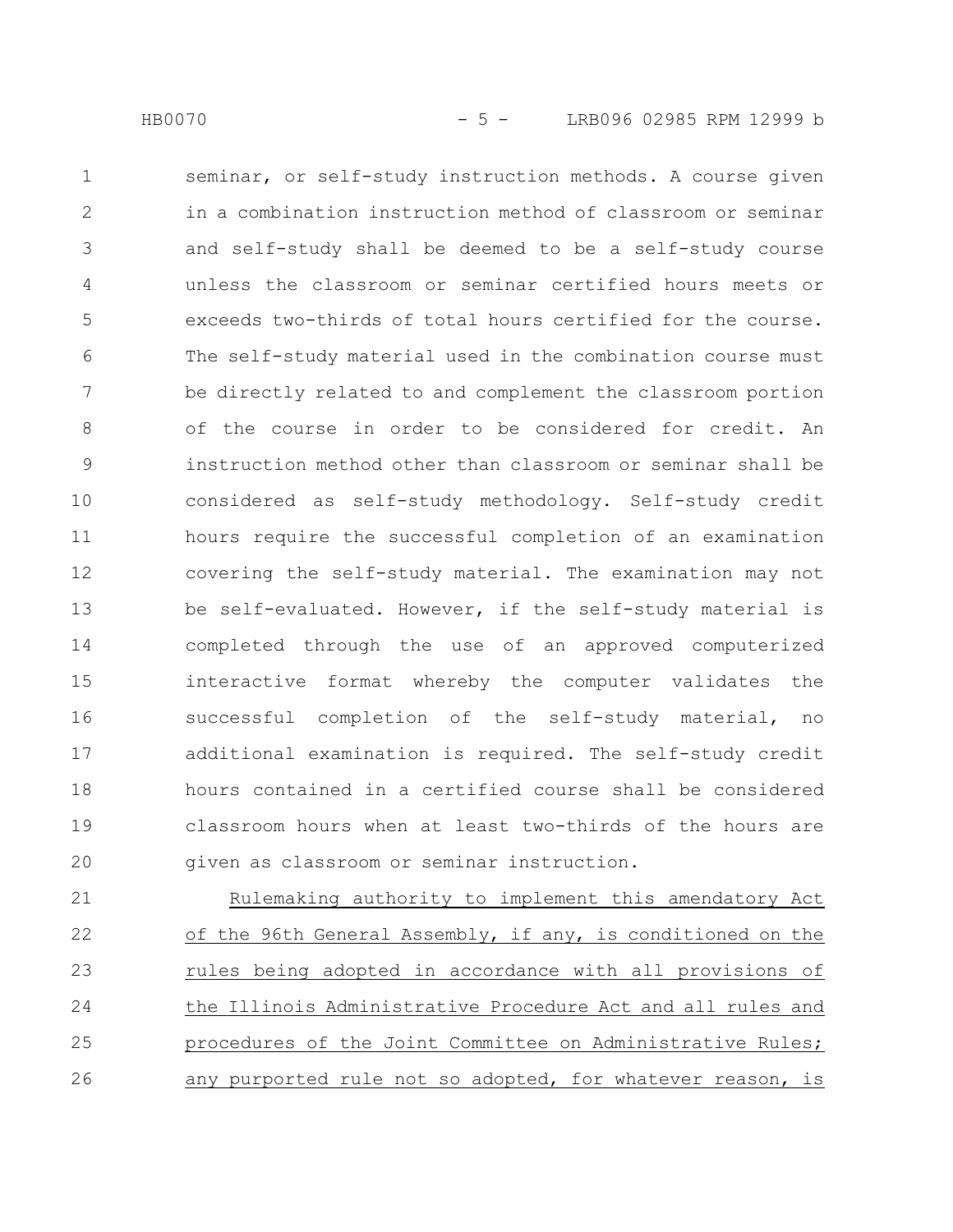seminar, or self-study instruction methods. A course given in a combination instruction method of classroom or seminar and self-study shall be deemed to be a self-study course unless the classroom or seminar certified hours meets or exceeds two-thirds of total hours certified for the course. The self-study material used in the combination course must be directly related to and complement the classroom portion of the course in order to be considered for credit. An instruction method other than classroom or seminar shall be considered as self-study methodology. Self-study credit hours require the successful completion of an examination covering the self-study material. The examination may not be self-evaluated. However, if the self-study material is completed through the use of an approved computerized interactive format whereby the computer validates the successful completion of the self-study material, no additional examination is required. The self-study credit hours contained in a certified course shall be considered classroom hours when at least two-thirds of the hours are given as classroom or seminar instruction. 1 2 3 4 5 6 7 8 9 10 11 12 13 14 15 16 17 18 19 20

Rulemaking authority to implement this amendatory Act of the 96th General Assembly, if any, is conditioned on the rules being adopted in accordance with all provisions of the Illinois Administrative Procedure Act and all rules and procedures of the Joint Committee on Administrative Rules; any purported rule not so adopted, for whatever reason, is 21 22 23 24 25 26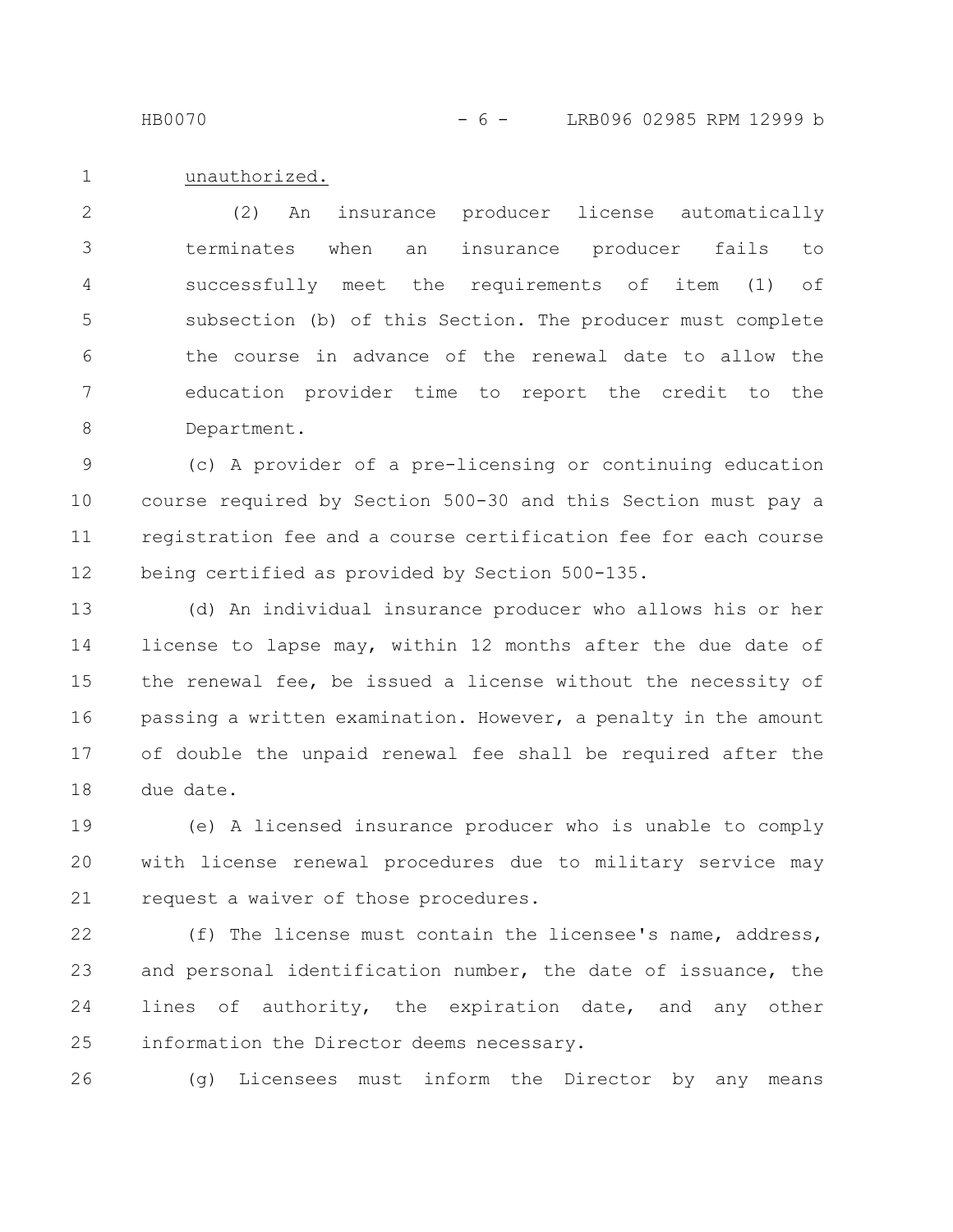HB0070 - 6 - LRB096 02985 RPM 12999 b

unauthorized. 1

(2) An insurance producer license automatically terminates when an insurance producer fails to successfully meet the requirements of item (1) of subsection (b) of this Section. The producer must complete the course in advance of the renewal date to allow the education provider time to report the credit to the Department. 2 3 4 5 6 7 8

(c) A provider of a pre-licensing or continuing education course required by Section 500-30 and this Section must pay a registration fee and a course certification fee for each course being certified as provided by Section 500-135. 9 10 11 12

(d) An individual insurance producer who allows his or her license to lapse may, within 12 months after the due date of the renewal fee, be issued a license without the necessity of passing a written examination. However, a penalty in the amount of double the unpaid renewal fee shall be required after the due date. 13 14 15 16 17 18

(e) A licensed insurance producer who is unable to comply with license renewal procedures due to military service may request a waiver of those procedures. 19 20 21

(f) The license must contain the licensee's name, address, and personal identification number, the date of issuance, the lines of authority, the expiration date, and any other information the Director deems necessary. 22 23 24 25

26

(g) Licensees must inform the Director by any means